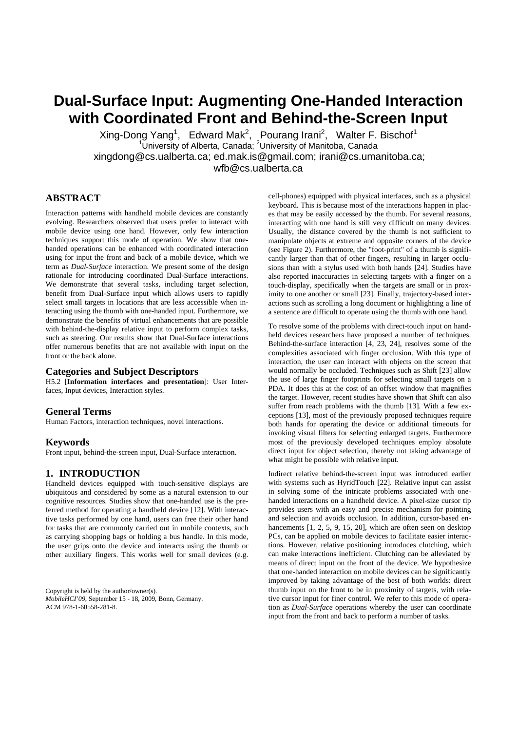# **Dual-Surface Input: Augmenting One-Handed Interaction with Coordinated Front and Behind-the-Screen Input**

Xing-Dong Yang<sup>1</sup>, Edward Mak<sup>2</sup>, Pourang Irani<sup>2</sup>, Walter F. Bischof<sup>1</sup> <sup>1</sup>University of Alberta, Canada; <sup>2</sup>University of Manitoba, Canada xingdong@cs.ualberta.ca; ed.mak.is@gmail.com; irani@cs.umanitoba.ca; wfb@cs.ualberta.ca

# **ABSTRACT**

Interaction patterns with handheld mobile devices are constantly evolving. Researchers observed that users prefer to interact with mobile device using one hand. However, only few interaction techniques support this mode of operation. We show that onehanded operations can be enhanced with coordinated interaction using for input the front and back of a mobile device, which we term as *Dual-Surface* interaction. We present some of the design rationale for introducing coordinated Dual-Surface interactions. We demonstrate that several tasks, including target selection, benefit from Dual-Surface input which allows users to rapidly select small targets in locations that are less accessible when interacting using the thumb with one-handed input. Furthermore, we demonstrate the benefits of virtual enhancements that are possible with behind-the-display relative input to perform complex tasks, such as steering. Our results show that Dual-Surface interactions offer numerous benefits that are not available with input on the front or the back alone.

## **Categories and Subject Descriptors**

H5.2 [**Information interfaces and presentation**]: User Interfaces, Input devices, Interaction styles.

## **General Terms**

Human Factors, interaction techniques, novel interactions.

#### **Keywords**

Front input, behind-the-screen input, Dual-Surface interaction.

# **1. INTRODUCTION**

Handheld devices equipped with touch-sensitive displays are ubiquitous and considered by some as a natural extension to our cognitive resources. Studies show that one-handed use is the preferred method for operating a handheld device [12]. With interactive tasks performed by one hand, users can free their other hand for tasks that are commonly carried out in mobile contexts, such as carrying shopping bags or holding a bus handle. In this mode, the user grips onto the device and interacts using the thumb or other auxiliary fingers. This works well for small devices (e.g.

Copyright is held by the author/owner(s). *MobileHCI'09*, September 15 - 18, 2009, Bonn, Germany. ACM 978-1-60558-281-8.

cell-phones) equipped with physical interfaces, such as a physical keyboard. This is because most of the interactions happen in places that may be easily accessed by the thumb. For several reasons, interacting with one hand is still very difficult on many devices. Usually, the distance covered by the thumb is not sufficient to manipulate objects at extreme and opposite corners of the device (see Figure 2). Furthermore, the "foot-print" of a thumb is significantly larger than that of other fingers, resulting in larger occlusions than with a stylus used with both hands [24]. Studies have also reported inaccuracies in selecting targets with a finger on a touch-display, specifically when the targets are small or in proximity to one another or small [23]. Finally, trajectory-based interactions such as scrolling a long document or highlighting a line of a sentence are difficult to operate using the thumb with one hand.

To resolve some of the problems with direct-touch input on handheld devices researchers have proposed a number of techniques. Behind-the-surface interaction [4, 23, 24], resolves some of the complexities associated with finger occlusion. With this type of interaction, the user can interact with objects on the screen that would normally be occluded. Techniques such as Shift [23] allow the use of large finger footprints for selecting small targets on a PDA. It does this at the cost of an offset window that magnifies the target. However, recent studies have shown that Shift can also suffer from reach problems with the thumb [13]. With a few exceptions [13], most of the previously proposed techniques require both hands for operating the device or additional timeouts for invoking visual filters for selecting enlarged targets. Furthermore most of the previously developed techniques employ absolute direct input for object selection, thereby not taking advantage of what might be possible with relative input.

Indirect relative behind-the-screen input was introduced earlier with systems such as HyridTouch [22]. Relative input can assist in solving some of the intricate problems associated with onehanded interactions on a handheld device. A pixel-size cursor tip provides users with an easy and precise mechanism for pointing and selection and avoids occlusion. In addition, cursor-based enhancements [1, 2, 5, 9, 15, 20], which are often seen on desktop PCs, can be applied on mobile devices to facilitate easier interactions. However, relative positioning introduces clutching, which can make interactions inefficient. Clutching can be alleviated by means of direct input on the front of the device. We hypothesize that one-handed interaction on mobile devices can be significantly improved by taking advantage of the best of both worlds: direct thumb input on the front to be in proximity of targets, with relative cursor input for finer control. We refer to this mode of operation as *Dual-Surface* operations whereby the user can coordinate input from the front and back to perform a number of tasks.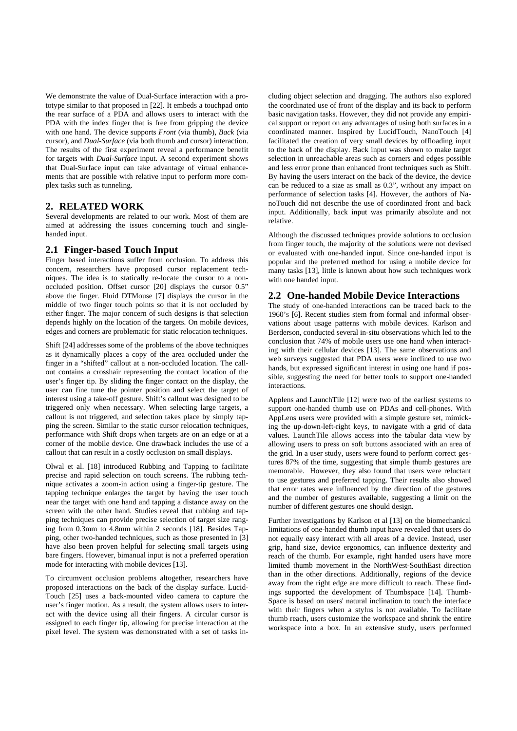We demonstrate the value of Dual-Surface interaction with a prototype similar to that proposed in [22]. It embeds a touchpad onto the rear surface of a PDA and allows users to interact with the PDA with the index finger that is free from gripping the device with one hand. The device supports *Front* (via thumb), *Back* (via cursor), and *Dual-Surface* (via both thumb and cursor) interaction. The results of the first experiment reveal a performance benefit for targets with *Dual-Surface* input. A second experiment shows that Dual-Surface input can take advantage of virtual enhancements that are possible with relative input to perform more complex tasks such as tunneling.

# **2. RELATED WORK**

Several developments are related to our work. Most of them are aimed at addressing the issues concerning touch and singlehanded input.

# **2.1 Finger-based Touch Input**

Finger based interactions suffer from occlusion. To address this concern, researchers have proposed cursor replacement techniques. The idea is to statically re-locate the cursor to a nonoccluded position. Offset cursor [20] displays the cursor 0.5" above the finger. Fluid DTMouse [7] displays the cursor in the middle of two finger touch points so that it is not occluded by either finger. The major concern of such designs is that selection depends highly on the location of the targets. On mobile devices, edges and corners are problematic for static relocation techniques.

Shift [24] addresses some of the problems of the above techniques as it dynamically places a copy of the area occluded under the finger in a "shifted" callout at a non-occluded location. The callout contains a crosshair representing the contact location of the user's finger tip. By sliding the finger contact on the display, the user can fine tune the pointer position and select the target of interest using a take-off gesture. Shift's callout was designed to be triggered only when necessary. When selecting large targets, a callout is not triggered, and selection takes place by simply tapping the screen. Similar to the static cursor relocation techniques, performance with Shift drops when targets are on an edge or at a corner of the mobile device. One drawback includes the use of a callout that can result in a costly occlusion on small displays.

Olwal et al. [18] introduced Rubbing and Tapping to facilitate precise and rapid selection on touch screens. The rubbing technique activates a zoom-in action using a finger-tip gesture. The tapping technique enlarges the target by having the user touch near the target with one hand and tapping a distance away on the screen with the other hand. Studies reveal that rubbing and tapping techniques can provide precise selection of target size ranging from 0.3mm to 4.8mm within 2 seconds [18]. Besides Tapping, other two-handed techniques, such as those presented in [3] have also been proven helpful for selecting small targets using bare fingers. However, bimanual input is not a preferred operation mode for interacting with mobile devices [13].

To circumvent occlusion problems altogether, researchers have proposed interactions on the back of the display surface. Lucid-Touch [25] uses a back-mounted video camera to capture the user's finger motion. As a result, the system allows users to interact with the device using all their fingers. A circular cursor is assigned to each finger tip, allowing for precise interaction at the pixel level. The system was demonstrated with a set of tasks including object selection and dragging. The authors also explored the coordinated use of front of the display and its back to perform basic navigation tasks. However, they did not provide any empirical support or report on any advantages of using both surfaces in a coordinated manner. Inspired by LucidTouch, NanoTouch [4] facilitated the creation of very small devices by offloading input to the back of the display. Back input was shown to make target selection in unreachable areas such as corners and edges possible and less error prone than enhanced front techniques such as Shift. By having the users interact on the back of the device, the device can be reduced to a size as small as 0.3", without any impact on performance of selection tasks [4]. However, the authors of NanoTouch did not describe the use of coordinated front and back input. Additionally, back input was primarily absolute and not relative.

Although the discussed techniques provide solutions to occlusion from finger touch, the majority of the solutions were not devised or evaluated with one-handed input. Since one-handed input is popular and the preferred method for using a mobile device for many tasks [13], little is known about how such techniques work with one handed input.

# **2.2 One-handed Mobile Device Interactions**

The study of one-handed interactions can be traced back to the 1960's [6]. Recent studies stem from formal and informal observations about usage patterns with mobile devices. Karlson and Berderson, conducted several in-situ observations which led to the conclusion that 74% of mobile users use one hand when interacting with their cellular devices [13]. The same observations and web surveys suggested that PDA users were inclined to use two hands, but expressed significant interest in using one hand if possible, suggesting the need for better tools to support one-handed interactions.

Applens and LaunchTile [12] were two of the earliest systems to support one-handed thumb use on PDAs and cell-phones. With AppLens users were provided with a simple gesture set, mimicking the up-down-left-right keys, to navigate with a grid of data values. LaunchTile allows access into the tabular data view by allowing users to press on soft buttons associated with an area of the grid. In a user study, users were found to perform correct gestures 87% of the time, suggesting that simple thumb gestures are memorable. However, they also found that users were reluctant to use gestures and preferred tapping. Their results also showed that error rates were influenced by the direction of the gestures and the number of gestures available, suggesting a limit on the number of different gestures one should design.

Further investigations by Karlson et al [13] on the biomechanical limitations of one-handed thumb input have revealed that users do not equally easy interact with all areas of a device. Instead, user grip, hand size, device ergonomics, can influence dexterity and reach of the thumb. For example, right handed users have more limited thumb movement in the NorthWest-SouthEast direction than in the other directions. Additionally, regions of the device away from the right edge are more difficult to reach. These findings supported the development of Thumbspace [14]. Thumb-Space is based on users' natural inclination to touch the interface with their fingers when a stylus is not available. To facilitate thumb reach, users customize the workspace and shrink the entire workspace into a box. In an extensive study, users performed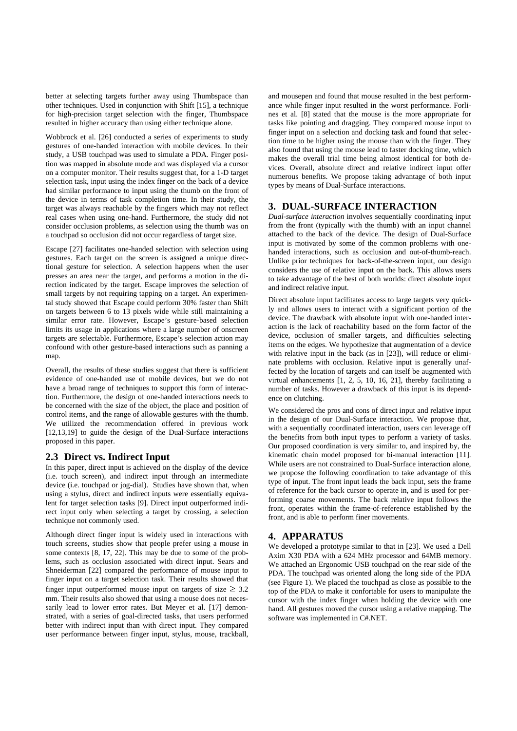better at selecting targets further away using Thumbspace than other techniques. Used in conjunction with Shift [15], a technique for high-precision target selection with the finger, Thumbspace resulted in higher accuracy than using either technique alone.

Wobbrock et al. [26] conducted a series of experiments to study gestures of one-handed interaction with mobile devices. In their study, a USB touchpad was used to simulate a PDA. Finger position was mapped in absolute mode and was displayed via a cursor on a computer monitor. Their results suggest that, for a 1-D target selection task, input using the index finger on the back of a device had similar performance to input using the thumb on the front of the device in terms of task completion time. In their study, the target was always reachable by the fingers which may not reflect real cases when using one-hand. Furthermore, the study did not consider occlusion problems, as selection using the thumb was on a touchpad so occlusion did not occur regardless of target size.

Escape [27] facilitates one-handed selection with selection using gestures. Each target on the screen is assigned a unique directional gesture for selection. A selection happens when the user presses an area near the target, and performs a motion in the direction indicated by the target. Escape improves the selection of small targets by not requiring tapping on a target. An experimental study showed that Escape could perform 30% faster than Shift on targets between 6 to 13 pixels wide while still maintaining a similar error rate. However, Escape's gesture-based selection limits its usage in applications where a large number of onscreen targets are selectable. Furthermore, Escape's selection action may confound with other gesture-based interactions such as panning a map.

Overall, the results of these studies suggest that there is sufficient evidence of one-handed use of mobile devices, but we do not have a broad range of techniques to support this form of interaction. Furthermore, the design of one-handed interactions needs to be concerned with the size of the object, the place and position of control items, and the range of allowable gestures with the thumb. We utilized the recommendation offered in previous work [12,13,19] to guide the design of the Dual-Surface interactions proposed in this paper.

## **2.3 Direct vs. Indirect Input**

In this paper, direct input is achieved on the display of the device (i.e. touch screen), and indirect input through an intermediate device (i.e. touchpad or jog-dial). Studies have shown that, when using a stylus, direct and indirect inputs were essentially equivalent for target selection tasks [9]. Direct input outperformed indirect input only when selecting a target by crossing, a selection technique not commonly used.

Although direct finger input is widely used in interactions with touch screens, studies show that people prefer using a mouse in some contexts [8, 17, 22]. This may be due to some of the problems, such as occlusion associated with direct input. Sears and Shneiderman [22] compared the performance of mouse input to finger input on a target selection task. Their results showed that finger input outperformed mouse input on targets of size  $\geq 3.2$ mm. Their results also showed that using a mouse does not necessarily lead to lower error rates. But Meyer et al. [17] demonstrated, with a series of goal-directed tasks, that users performed better with indirect input than with direct input. They compared user performance between finger input, stylus, mouse, trackball,

and mousepen and found that mouse resulted in the best performance while finger input resulted in the worst performance. Forlines et al. [8] stated that the mouse is the more appropriate for tasks like pointing and dragging. They compared mouse input to finger input on a selection and docking task and found that selection time to be higher using the mouse than with the finger. They also found that using the mouse lead to faster docking time, which makes the overall trial time being almost identical for both devices. Overall, absolute direct and relative indirect input offer numerous benefits. We propose taking advantage of both input types by means of Dual-Surface interactions.

# **3. DUAL-SURFACE INTERACTION**

*Dual-surface interaction* involves sequentially coordinating input from the front (typically with the thumb) with an input channel attached to the back of the device. The design of Dual-Surface input is motivated by some of the common problems with onehanded interactions, such as occlusion and out-of-thumb-reach. Unlike prior techniques for back-of-the-screen input, our design considers the use of relative input on the back. This allows users to take advantage of the best of both worlds: direct absolute input and indirect relative input.

Direct absolute input facilitates access to large targets very quickly and allows users to interact with a significant portion of the device. The drawback with absolute input with one-handed interaction is the lack of reachability based on the form factor of the device, occlusion of smaller targets, and difficulties selecting items on the edges. We hypothesize that augmentation of a device with relative input in the back (as in [23]), will reduce or eliminate problems with occlusion. Relative input is generally unaffected by the location of targets and can itself be augmented with virtual enhancements [1, 2, 5, 10, 16, 21], thereby facilitating a number of tasks. However a drawback of this input is its dependence on clutching.

We considered the pros and cons of direct input and relative input in the design of our Dual-Surface interaction. We propose that, with a sequentially coordinated interaction, users can leverage off the benefits from both input types to perform a variety of tasks. Our proposed coordination is very similar to, and inspired by, the kinematic chain model proposed for bi-manual interaction [11]. While users are not constrained to Dual-Surface interaction alone, we propose the following coordination to take advantage of this type of input. The front input leads the back input, sets the frame of reference for the back cursor to operate in, and is used for performing coarse movements. The back relative input follows the front, operates within the frame-of-reference established by the front, and is able to perform finer movements.

# **4. APPARATUS**

We developed a prototype similar to that in [23]. We used a Dell Axim X30 PDA with a 624 MHz processor and 64MB memory. We attached an Ergonomic USB touchpad on the rear side of the PDA. The touchpad was oriented along the long side of the PDA (see Figure 1). We placed the touchpad as close as possible to the top of the PDA to make it confortable for users to manipulate the cursor with the index finger when holding the device with one hand. All gestures moved the cursor using a relative mapping. The software was implemented in C#.NET.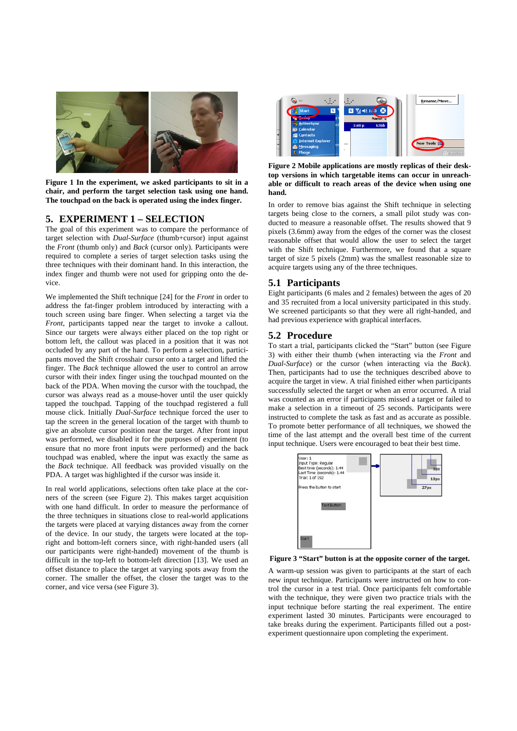

**Figure 1 In the experiment, we asked participants to sit in a chair, and perform the target selection task using one hand. The touchpad on the back is operated using the index finger.** 

# **5. EXPERIMENT 1 – SELECTION**

The goal of this experiment was to compare the performance of target selection with *Dual-Surface* (thumb+cursor) input against the *Front* (thumb only) and *Back* (cursor only). Participants were required to complete a series of target selection tasks using the three techniques with their dominant hand. In this interaction, the index finger and thumb were not used for gripping onto the device.

We implemented the Shift technique [24] for the *Front* in order to address the fat-finger problem introduced by interacting with a touch screen using bare finger. When selecting a target via the *Front*, participants tapped near the target to invoke a callout. Since our targets were always either placed on the top right or bottom left, the callout was placed in a position that it was not occluded by any part of the hand. To perform a selection, participants moved the Shift crosshair cursor onto a target and lifted the finger. The *Back* technique allowed the user to control an arrow cursor with their index finger using the touchpad mounted on the back of the PDA. When moving the cursor with the touchpad, the cursor was always read as a mouse-hover until the user quickly tapped the touchpad. Tapping of the touchpad registered a full mouse click. Initially *Dual-Surface* technique forced the user to tap the screen in the general location of the target with thumb to give an absolute cursor position near the target. After front input was performed, we disabled it for the purposes of experiment (to ensure that no more front inputs were performed) and the back touchpad was enabled, where the input was exactly the same as the *Back* technique. All feedback was provided visually on the PDA. A target was highlighted if the cursor was inside it.

In real world applications, selections often take place at the corners of the screen (see Figure 2). This makes target acquisition with one hand difficult. In order to measure the performance of the three techniques in situations close to real-world applications the targets were placed at varying distances away from the corner of the device. In our study, the targets were located at the topright and bottom-left corners since, with right-handed users (all our participants were right-handed) movement of the thumb is difficult in the top-left to bottom-left direction [13]. We used an offset distance to place the target at varying spots away from the corner. The smaller the offset, the closer the target was to the corner, and vice versa (see Figure 3).



**Figure 2 Mobile applications are mostly replicas of their desktop versions in which targetable items can occur in unreachable or difficult to reach areas of the device when using one hand.** 

In order to remove bias against the Shift technique in selecting targets being close to the corners, a small pilot study was conducted to measure a reasonable offset. The results showed that 9 pixels (3.6mm) away from the edges of the corner was the closest reasonable offset that would allow the user to select the target with the Shift technique. Furthermore, we found that a square target of size 5 pixels (2mm) was the smallest reasonable size to acquire targets using any of the three techniques.

# **5.1 Participants**

Eight participants (6 males and 2 females) between the ages of 20 and 35 recruited from a local university participated in this study. We screened participants so that they were all right-handed, and had previous experience with graphical interfaces.

# **5.2 Procedure**

To start a trial, participants clicked the "Start" button (see Figure 3) with either their thumb (when interacting via the *Front* and *Dual-Surface*) or the cursor (when interacting via the *Back*). Then, participants had to use the techniques described above to acquire the target in view. A trial finished either when participants successfully selected the target or when an error occurred. A trial was counted as an error if participants missed a target or failed to make a selection in a timeout of 25 seconds. Participants were instructed to complete the task as fast and as accurate as possible. To promote better performance of all techniques, we showed the time of the last attempt and the overall best time of the current input technique. Users were encouraged to beat their best time.



**Figure 3 "Start" button is at the opposite corner of the target.** 

A warm-up session was given to participants at the start of each new input technique. Participants were instructed on how to control the cursor in a test trial. Once participants felt comfortable with the technique, they were given two practice trials with the input technique before starting the real experiment. The entire experiment lasted 30 minutes. Participants were encouraged to take breaks during the experiment. Participants filled out a postexperiment questionnaire upon completing the experiment.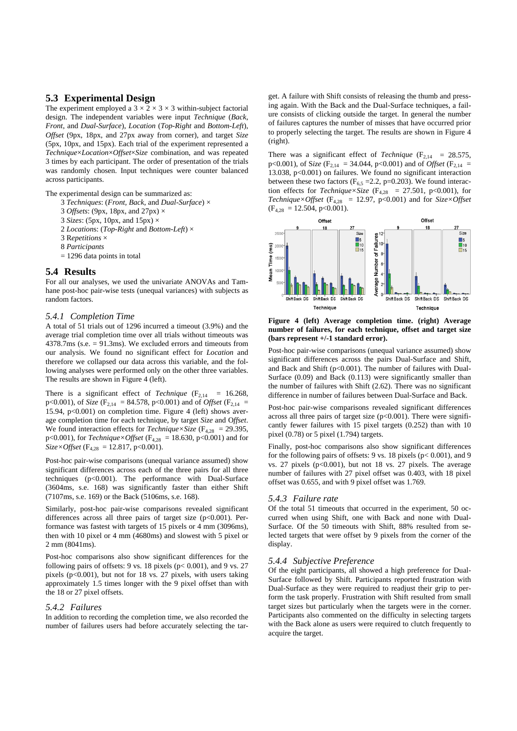# **5.3 Experimental Design**

The experiment employed a  $3 \times 2 \times 3 \times 3$  within-subject factorial design. The independent variables were input *Technique* (*Back*, *Front*, and *Dual-Surface*), *Location* (*Top-Right* and *Bottom-Left*), *Offset* (9px, 18px, and 27px away from corner), and target *Size* (5px, 10px, and 15px). Each trial of the experiment represented a *Technique*×*Location*×*Offset*×*Size* combination, and was repeated 3 times by each participant. The order of presentation of the trials was randomly chosen. Input techniques were counter balanced across participants.

The experimental design can be summarized as:

- 3 *Techniques*: (*Front, Back*, and *Dual-Surface*) ×
- 3 *Offsets*: (9px, 18px, and 27px) ×
- 3 *Sizes*: (5px, 10px, and 15px) ×
- 2 *Location*s: (*Top-Right* and *Bottom-Left*) ×
- 3 R*epetitions* ×
- 8 *Participants*
- $= 1296$  data points in total

#### **5.4 Results**

For all our analyses, we used the univariate ANOVAs and Tamhane post-hoc pair-wise tests (unequal variances) with subjects as random factors.

#### *5.4.1 Completion Time*

A total of 51 trials out of 1296 incurred a timeout (3.9%) and the average trial completion time over all trials without timeouts was 4378.7ms (s.e. = 91.3ms). We excluded errors and timeouts from our analysis. We found no significant effect for *Location* and therefore we collapsed our data across this variable, and the following analyses were performed only on the other three variables. The results are shown in Figure 4 (left).

There is a significant effect of *Technique* ( $F_{2,14}$  = 16.268, p<0.001), of *Size* (F<sub>2,14</sub> = 84.578, p<0.001) and of *Offset* (F<sub>2,14</sub> = 15.94, p<0.001) on completion time. Figure 4 (left) shows average completion time for each technique, by target *Size* and O*ffset*. We found interaction effects for *Technique*×Size ( $F_{4,28}$  = 29.395, p<0.001), for *Technique*×Offset (F<sub>4.28</sub> = 18.630, p<0.001) and for  $Size \times Offset$  (F<sub>4.28</sub> = 12.817, p<0.001).

Post-hoc pair-wise comparisons (unequal variance assumed) show significant differences across each of the three pairs for all three techniques (p<0.001). The performance with Dual-Surface (3604ms, s.e. 168) was significantly faster than either Shift (7107ms, s.e. 169) or the Back (5106ms, s.e. 168).

Similarly, post-hoc pair-wise comparisons revealed significant differences across all three pairs of target size (p<0.001). Performance was fastest with targets of 15 pixels or 4 mm (3096ms), then with 10 pixel or 4 mm (4680ms) and slowest with 5 pixel or 2 mm (8041ms).

Post-hoc comparisons also show significant differences for the following pairs of offsets: 9 vs. 18 pixels ( $p$ < 0.001), and 9 vs. 27 pixels (p<0.001), but not for 18 vs. 27 pixels, with users taking approximately 1.5 times longer with the 9 pixel offset than with the 18 or 27 pixel offsets.

## *5.4.2 Failures*

In addition to recording the completion time, we also recorded the number of failures users had before accurately selecting the tar-

get. A failure with Shift consists of releasing the thumb and pressing again. With the Back and the Dual-Surface techniques, a failure consists of clicking outside the target. In general the number of failures captures the number of misses that have occurred prior to properly selecting the target. The results are shown in Figure 4 (right).

There was a significant effect of *Technique* ( $F_{2,14}$  = 28.575, p<0.001), of Size (F<sub>2,14</sub> = 34.044, p<0.001) and of *Offset* (F<sub>2,14</sub> = 13.038, p<0.001) on failures. We found no significant interaction between these two factors ( $F_{6,5} = 2.2$ , p=0.203). We found interaction effects for *Technique×Size* ( $F_{4,28}$  = 27.501, p<0.001), for *Technique×Offset* ( $F_{4,28}$  = 12.97, p<0.001) and for *Size×Offset*  $(F_{4,28} = 12.504, p<0.001).$ 



#### **Figure 4 (left) Average completion time. (right) Average number of failures, for each technique, offset and target size (bars represent +/-1 standard error).**

Post-hoc pair-wise comparisons (unequal variance assumed) show significant differences across the pairs Dual-Surface and Shift, and Back and Shift (p<0.001). The number of failures with Dual-Surface  $(0.09)$  and Back  $(0.113)$  were significantly smaller than the number of failures with Shift (2.62). There was no significant difference in number of failures between Dual-Surface and Back.

Post-hoc pair-wise comparisons revealed significant differences across all three pairs of target size  $(p<0.001)$ . There were significantly fewer failures with 15 pixel targets (0.252) than with 10 pixel (0.78) or 5 pixel (1.794) targets.

Finally, post-hoc comparisons also show significant differences for the following pairs of offsets: 9 vs. 18 pixels (p< 0.001), and 9 vs. 27 pixels  $(p<0.001)$ , but not 18 vs. 27 pixels. The average number of failures with 27 pixel offset was 0.403, with 18 pixel offset was 0.655, and with 9 pixel offset was 1.769.

#### *5.4.3 Failure rate*

Of the total 51 timeouts that occurred in the experiment, 50 occurred when using Shift, one with Back and none with Dual-Surface. Of the 50 timeouts with Shift, 88% resulted from selected targets that were offset by 9 pixels from the corner of the display.

#### *5.4.4 Subjective Preference*

Of the eight participants, all showed a high preference for Dual-Surface followed by Shift. Participants reported frustration with Dual-Surface as they were required to readjust their grip to perform the task properly. Frustration with Shift resulted from small target sizes but particularly when the targets were in the corner. Participants also commented on the difficulty in selecting targets with the Back alone as users were required to clutch frequently to acquire the target.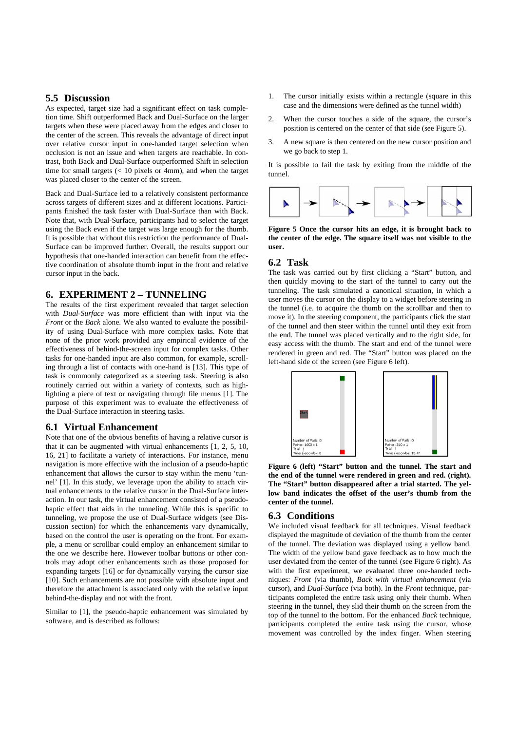# **5.5 Discussion**

As expected, target size had a significant effect on task completion time. Shift outperformed Back and Dual-Surface on the larger targets when these were placed away from the edges and closer to the center of the screen. This reveals the advantage of direct input over relative cursor input in one-handed target selection when occlusion is not an issue and when targets are reachable. In contrast, both Back and Dual-Surface outperformed Shift in selection time for small targets  $\left($  < 10 pixels or 4mm), and when the target was placed closer to the center of the screen.

Back and Dual-Surface led to a relatively consistent performance across targets of different sizes and at different locations. Participants finished the task faster with Dual-Surface than with Back. Note that, with Dual-Surface, participants had to select the target using the Back even if the target was large enough for the thumb. It is possible that without this restriction the performance of Dual-Surface can be improved further. Overall, the results support our hypothesis that one-handed interaction can benefit from the effective coordination of absolute thumb input in the front and relative cursor input in the back.

# **6. EXPERIMENT 2 – TUNNELING**

The results of the first experiment revealed that target selection with *Dual-Surface* was more efficient than with input via the *Front* or the *Back* alone. We also wanted to evaluate the possibility of using Dual-Surface with more complex tasks. Note that none of the prior work provided any empirical evidence of the effectiveness of behind-the-screen input for complex tasks. Other tasks for one-handed input are also common, for example, scrolling through a list of contacts with one-hand is [13]. This type of task is commonly categorized as a steering task. Steering is also routinely carried out within a variety of contexts, such as highlighting a piece of text or navigating through file menus [1]. The purpose of this experiment was to evaluate the effectiveness of the Dual-Surface interaction in steering tasks.

# **6.1 Virtual Enhancement**

Note that one of the obvious benefits of having a relative cursor is that it can be augmented with virtual enhancements [1, 2, 5, 10, 16, 21] to facilitate a variety of interactions. For instance, menu navigation is more effective with the inclusion of a pseudo-haptic enhancement that allows the cursor to stay within the menu 'tunnel' [1]. In this study, we leverage upon the ability to attach virtual enhancements to the relative cursor in the Dual-Surface interaction. In our task, the virtual enhancement consisted of a pseudohaptic effect that aids in the tunneling. While this is specific to tunneling, we propose the use of Dual-Surface widgets (see Discussion section) for which the enhancements vary dynamically, based on the control the user is operating on the front. For example, a menu or scrollbar could employ an enhancement similar to the one we describe here. However toolbar buttons or other controls may adopt other enhancements such as those proposed for expanding targets [16] or for dynamically varying the cursor size [10]. Such enhancements are not possible with absolute input and therefore the attachment is associated only with the relative input behind-the-display and not with the front.

Similar to [1], the pseudo-haptic enhancement was simulated by software, and is described as follows:

- 1. The cursor initially exists within a rectangle (square in this case and the dimensions were defined as the tunnel width)
- 2. When the cursor touches a side of the square, the cursor's position is centered on the center of that side (see Figure 5).
- 3. A new square is then centered on the new cursor position and we go back to step 1.

It is possible to fail the task by exiting from the middle of the tunnel.



**Figure 5 Once the cursor hits an edge, it is brought back to the center of the edge. The square itself was not visible to the user.** 

# **6.2 Task**

The task was carried out by first clicking a "Start" button, and then quickly moving to the start of the tunnel to carry out the tunneling. The task simulated a canonical situation, in which a user moves the cursor on the display to a widget before steering in the tunnel (i.e. to acquire the thumb on the scrollbar and then to move it). In the steering component, the participants click the start of the tunnel and then steer within the tunnel until they exit from the end. The tunnel was placed vertically and to the right side, for easy access with the thumb. The start and end of the tunnel were rendered in green and red. The "Start" button was placed on the left-hand side of the screen (see Figure 6 left).



**Figure 6 (left) "Start" button and the tunnel. The start and the end of the tunnel were rendered in green and red. (right). The "Start" button disappeared after a trial started. The yellow band indicates the offset of the user's thumb from the center of the tunnel.** 

## **6.3 Conditions**

We included visual feedback for all techniques. Visual feedback displayed the magnitude of deviation of the thumb from the center of the tunnel. The deviation was displayed using a yellow band. The width of the yellow band gave feedback as to how much the user deviated from the center of the tunnel (see Figure 6 right). As with the first experiment, we evaluated three one-handed techniques: *Front* (via thumb), *Back with virtual enhancement* (via cursor), and *Dual-Surface* (via both). In the *Front* technique, participants completed the entire task using only their thumb. When steering in the tunnel, they slid their thumb on the screen from the top of the tunnel to the bottom. For the enhanced *Back* technique, participants completed the entire task using the cursor, whose movement was controlled by the index finger. When steering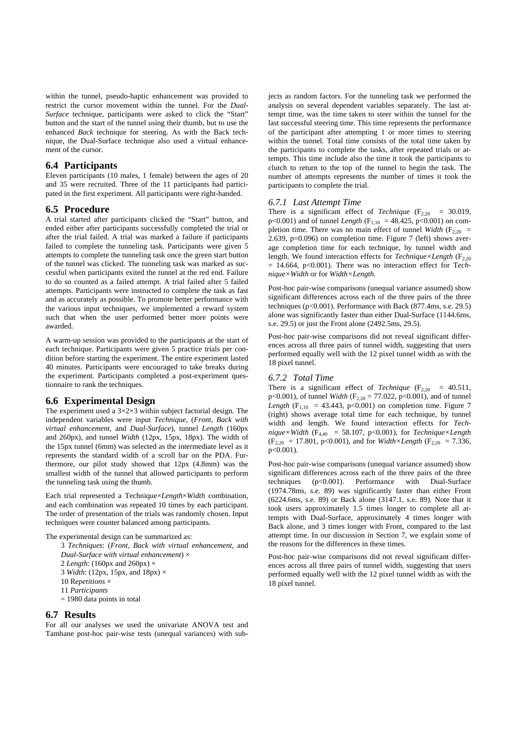within the tunnel, pseudo-haptic enhancement was provided to restrict the cursor movement within the tunnel. For the *Dual-Surface* technique, participants were asked to click the "Start" button and the start of the tunnel using their thumb, but to use the enhanced *Back* technique for steering. As with the Back technique, the Dual-Surface technique also used a virtual enhancement of the cursor.

# **6.4 Participants**

Eleven participants (10 males, 1 female) between the ages of 20 and 35 were recruited. Three of the 11 participants had participated in the first experiment. All participants were right-handed.

# **6.5 Procedure**

A trial started after participants clicked the "Start" button, and ended either after participants successfully completed the trial or after the trial failed. A trial was marked a failure if participants failed to complete the tunneling task. Participants were given 5 attempts to complete the tunneling task once the green start button of the tunnel was clicked. The tunneling task was marked as successful when participants exited the tunnel at the red end. Failure to do so counted as a failed attempt. A trial failed after 5 failed attempts. Participants were instructed to complete the task as fast and as accurately as possible. To promote better performance with the various input techniques, we implemented a reward system such that when the user performed better more points were awarded.

A warm-up session was provided to the participants at the start of each technique. Participants were given 5 practice trials per condition before starting the experiment. The entire experiment lasted 40 minutes. Participants were encouraged to take breaks during the experiment. Participants completed a post-experiment questionnaire to rank the techniques.

# **6.6 Experimental Design**

The experiment used a  $3 \times 2 \times 3$  within subject factorial design. The independent variables were input *Technique*, (*Front*, *Back with virtual enhancement*, and *Dual-Surface*), tunnel *Length* (160px and 260px), and tunnel *Width* (12px, 15px, 18px). The width of the 15px tunnel (6mm) was selected as the intermediate level as it represents the standard width of a scroll bar on the PDA. Furthermore, our pilot study showed that 12px (4.8mm) was the smallest width of the tunnel that allowed participants to perform the tunneling task using the thumb.

Each trial represented a Technique×*Length*×*Width* combination, and each combination was repeated 10 times by each participant. The order of presentation of the trials was randomly chosen. Input techniques were counter balanced among participants.

## The experimental design can be summarized as:

3 *Techniques*: (*Front, Back with virtual enhancement*, and *Dual-Surface with virtual enhancement*) × 2 *Length*: (160px and 260px) × 3 *Width*: (12px, 15px, and 18px) × 10 R*epetitions* × 11 *Participants*  = 1980 data points in total

## **6.7 Results**

For all our analyses we used the univariate ANOVA test and Tamhane post-hoc pair-wise tests (unequal variances) with subjects as random factors. For the tunneling task we performed the analysis on several dependent variables separately. The last attempt time, was the time taken to steer within the tunnel for the last successful steering time. This time represents the performance of the participant after attempting 1 or more times to steering within the tunnel. Total time consists of the total time taken by the participants to complete the tasks, after repeated trials or attempts. This time include also the time it took the participants to clutch to return to the top of the tunnel to begin the task. The number of attempts represents the number of times it took the participants to complete the trial.

#### *6.7.1 Last Attempt Time*

There is a significant effect of *Technique*  $(F_{2,20} = 30.019$ , p<0.001) and of tunnel *Length* ( $F_{1,10}$  = 48.425, p<0.001) on completion time. There was no main effect of tunnel *Width* ( $F_{2,20}$  = 2.639, p=0.096) on completion time. Figure 7 (left) shows average completion time for each technique, by tunnel width and length. We found interaction effects for *Technique×Length* ( $F_{2,20}$ ) = 14.664, p<0.001). There was no interaction effect for T*echnique×Width* or for *Width×Length*.

Post-hoc pair-wise comparisons (unequal variance assumed) show significant differences across each of the three pairs of the three techniques (p<0.001). Performance with Back (877.4ms, s.e. 29.5) alone was significantly faster than either Dual-Surface (1144.6ms, s.e. 29.5) or just the Front alone (2492.5ms, 29.5).

Post-hoc pair-wise comparisons did not reveal significant differences across all three pairs of tunnel width, suggesting that users performed equally well with the 12 pixel tunnel width as with the 18 pixel tunnel.

#### *6.7.2 Total Time*

There is a significant effect of *Technique*  $(F_{2,20} = 40.511,$ p<0.001), of tunnel *Width* (F<sub>2,20</sub> = 77.022, p<0.001), and of tunnel *Length* (F<sub>1,10</sub> = 43.443, p<0.001) on completion time. Figure 7 (right) shows average total time for each technique, by tunnel width and length. We found interaction effects for *Tech* $nique \times Width$  ( $F_{4,40}$  = 58.107, p<0.001), for *Technique*×*Length*  $(F_{2,20} = 17.801, p<0.001)$ , and for *Width*×*Length* ( $F_{2,20} = 7.336$ , p<0.001).

Post-hoc pair-wise comparisons (unequal variance assumed) show significant differences across each of the three pairs of the three techniques (p<0.001). Performance with Dual-Surface (1974.78ms, s.e. 89) was significantly faster than either Front (6224.6ms, s.e. 89) or Back alone (3147.1, s.e. 89). Note that it took users approximately 1.5 times longer to complete all attempts with Dual-Surface, approximately 4 times longer with Back alone, and 3 times longer with Front, compared to the last attempt time. In our discussion in Section 7, we explain some of the reasons for the differences in these times.

Post-hoc pair-wise comparisons did not reveal significant differences across all three pairs of tunnel width, suggesting that users performed equally well with the 12 pixel tunnel width as with the 18 pixel tunnel.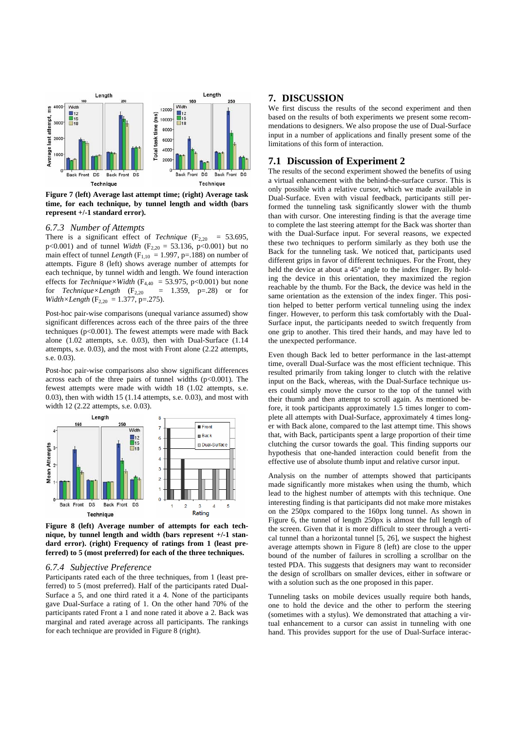

**Figure 7 (left) Average last attempt time; (right) Average task time, for each technique, by tunnel length and width (bars represent +/-1 standard error).** 

#### *6.7.3 Number of Attempts*

There is a significant effect of *Technique* ( $F_{2,20}$  = 53.695, p<0.001) and of tunnel *Width* (F<sub>2,20</sub> = 53.136, p<0.001) but no main effect of tunnel *Length* ( $F_{1,10} = 1.997$ , p=.188) on number of attempts. Figure 8 (left) shows average number of attempts for each technique, by tunnel width and length. We found interaction effects for *Technique×Width* (F<sub>4,40</sub> = 53.975, p<0.001) but none<br>for *Technique×Length* (F<sub>2,20</sub> = 1.359, p=.28) or for for  $Technique \times Length$  (F<sub>2,20</sub>) *Width×Length* ( $F_{2,20} = 1.377$ , p=.275).

Post-hoc pair-wise comparisons (unequal variance assumed) show significant differences across each of the three pairs of the three techniques ( $p<0.001$ ). The fewest attempts were made with Back alone (1.02 attempts, s.e. 0.03), then with Dual-Surface (1.14 attempts, s.e. 0.03), and the most with Front alone (2.22 attempts, s.e. 0.03).

Post-hoc pair-wise comparisons also show significant differences across each of the three pairs of tunnel widths  $(p<0.001)$ . The fewest attempts were made with width 18 (1.02 attempts, s.e. 0.03), then with width 15 (1.14 attempts, s.e. 0.03), and most with width 12 (2.22 attempts, s.e. 0.03).



**Figure 8 (left) Average number of attempts for each technique, by tunnel length and width (bars represent +/-1 standard error). (right) Frequency of ratings from 1 (least preferred) to 5 (most preferred) for each of the three techniques.** 

#### *6.7.4 Subjective Preference*

Participants rated each of the three techniques, from 1 (least preferred) to 5 (most preferred). Half of the participants rated Dual-Surface a 5, and one third rated it a 4. None of the participants gave Dual-Surface a rating of 1. On the other hand 70% of the participants rated Front a 1 and none rated it above a 2. Back was marginal and rated average across all participants. The rankings for each technique are provided in Figure 8 (right).

## **7. DISCUSSION**

We first discuss the results of the second experiment and then based on the results of both experiments we present some recommendations to designers. We also propose the use of Dual-Surface input in a number of applications and finally present some of the limitations of this form of interaction.

## **7.1 Discussion of Experiment 2**

The results of the second experiment showed the benefits of using a virtual enhancement with the behind-the-surface cursor. This is only possible with a relative cursor, which we made available in Dual-Surface. Even with visual feedback, participants still performed the tunneling task significantly slower with the thumb than with cursor. One interesting finding is that the average time to complete the last steering attempt for the Back was shorter than with the Dual-Surface input. For several reasons, we expected these two techniques to perform similarly as they both use the Back for the tunneling task. We noticed that, participants used different grips in favor of different techniques. For the Front, they held the device at about a 45° angle to the index finger. By holding the device in this orientation, they maximized the region reachable by the thumb. For the Back, the device was held in the same orientation as the extension of the index finger. This position helped to better perform vertical tunneling using the index finger. However, to perform this task comfortably with the Dual-Surface input, the participants needed to switch frequently from one grip to another. This tired their hands, and may have led to the unexpected performance.

Even though Back led to better performance in the last-attempt time, overall Dual-Surface was the most efficient technique. This resulted primarily from taking longer to clutch with the relative input on the Back, whereas, with the Dual-Surface technique users could simply move the cursor to the top of the tunnel with their thumb and then attempt to scroll again. As mentioned before, it took participants approximately 1.5 times longer to complete all attempts with Dual-Surface, approximately 4 times longer with Back alone, compared to the last attempt time. This shows that, with Back, participants spent a large proportion of their time clutching the cursor towards the goal. This finding supports our hypothesis that one-handed interaction could benefit from the effective use of absolute thumb input and relative cursor input.

Analysis on the number of attempts showed that participants made significantly more mistakes when using the thumb, which lead to the highest number of attempts with this technique. One interesting finding is that participants did not make more mistakes on the 250px compared to the 160px long tunnel. As shown in Figure 6, the tunnel of length 250px is almost the full length of the screen. Given that it is more difficult to steer through a vertical tunnel than a horizontal tunnel [5, 26], we suspect the highest average attempts shown in Figure 8 (left) are close to the upper bound of the number of failures in scrolling a scrollbar on the tested PDA. This suggests that designers may want to reconsider the design of scrollbars on smaller devices, either in software or with a solution such as the one proposed in this paper.

Tunneling tasks on mobile devices usually require both hands, one to hold the device and the other to perform the steering (sometimes with a stylus). We demonstrated that attaching a virtual enhancement to a cursor can assist in tunneling with one hand. This provides support for the use of Dual-Surface interac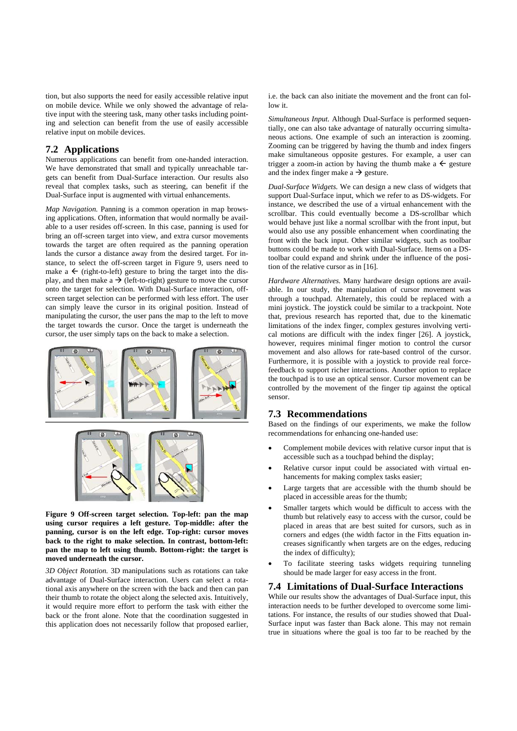tion, but also supports the need for easily accessible relative input on mobile device. While we only showed the advantage of relative input with the steering task, many other tasks including pointing and selection can benefit from the use of easily accessible relative input on mobile devices.

# **7.2 Applications**

Numerous applications can benefit from one-handed interaction. We have demonstrated that small and typically unreachable targets can benefit from Dual-Surface interaction. Our results also reveal that complex tasks, such as steering, can benefit if the Dual-Surface input is augmented with virtual enhancements.

*Map Navigation.* Panning is a common operation in map browsing applications. Often, information that would normally be available to a user resides off-screen. In this case, panning is used for bring an off-screen target into view, and extra cursor movements towards the target are often required as the panning operation lands the cursor a distance away from the desired target. For instance, to select the off-screen target in Figure 9, users need to make a  $\leftarrow$  (right-to-left) gesture to bring the target into the display, and then make a  $\rightarrow$  (left-to-right) gesture to move the cursor onto the target for selection. With Dual-Surface interaction, offscreen target selection can be performed with less effort. The user can simply leave the cursor in its original position. Instead of manipulating the cursor, the user pans the map to the left to move the target towards the cursor. Once the target is underneath the cursor, the user simply taps on the back to make a selection.



**Figure 9 Off-screen target selection. Top-left: pan the map using cursor requires a left gesture. Top-middle: after the panning, cursor is on the left edge. Top-right: cursor moves back to the right to make selection. In contrast, bottom-left: pan the map to left using thumb. Bottom-right: the target is moved underneath the cursor.** 

*3D Object Rotation.* 3D manipulations such as rotations can take advantage of Dual-Surface interaction. Users can select a rotational axis anywhere on the screen with the back and then can pan their thumb to rotate the object along the selected axis. Intuitively, it would require more effort to perform the task with either the back or the front alone. Note that the coordination suggested in this application does not necessarily follow that proposed earlier,

i.e. the back can also initiate the movement and the front can follow it.

*Simultaneous Input.* Although Dual-Surface is performed sequentially, one can also take advantage of naturally occurring simultaneous actions. One example of such an interaction is zooming. Zooming can be triggered by having the thumb and index fingers make simultaneous opposite gestures. For example, a user can trigger a zoom-in action by having the thumb make a  $\leftarrow$  gesture and the index finger make a  $\rightarrow$  gesture.

*Dual-Surface Widgets.* We can design a new class of widgets that support Dual-Surface input, which we refer to as DS-widgets. For instance, we described the use of a virtual enhancement with the scrollbar. This could eventually become a DS-scrollbar which would behave just like a normal scrollbar with the front input, but would also use any possible enhancement when coordinating the front with the back input. Other similar widgets, such as toolbar buttons could be made to work with Dual-Surface. Items on a DStoolbar could expand and shrink under the influence of the position of the relative cursor as in [16].

*Hardware Alternatives.* Many hardware design options are available. In our study, the manipulation of cursor movement was through a touchpad. Alternately, this could be replaced with a mini joystick. The joystick could be similar to a trackpoint. Note that, previous research has reported that, due to the kinematic limitations of the index finger, complex gestures involving vertical motions are difficult with the index finger [26]. A joystick, however, requires minimal finger motion to control the cursor movement and also allows for rate-based control of the cursor. Furthermore, it is possible with a joystick to provide real forcefeedback to support richer interactions. Another option to replace the touchpad is to use an optical sensor. Cursor movement can be controlled by the movement of the finger tip against the optical sensor.

# **7.3 Recommendations**

Based on the findings of our experiments, we make the follow recommendations for enhancing one-handed use:

- Complement mobile devices with relative cursor input that is accessible such as a touchpad behind the display;
- Relative cursor input could be associated with virtual enhancements for making complex tasks easier;
- Large targets that are accessible with the thumb should be placed in accessible areas for the thumb;
- Smaller targets which would be difficult to access with the thumb but relatively easy to access with the cursor, could be placed in areas that are best suited for cursors, such as in corners and edges (the width factor in the Fitts equation increases significantly when targets are on the edges, reducing the index of difficulty);
- To facilitate steering tasks widgets requiring tunneling should be made larger for easy access in the front.

# **7.4 Limitations of Dual-Surface Interactions**

While our results show the advantages of Dual-Surface input, this interaction needs to be further developed to overcome some limitations. For instance, the results of our studies showed that Dual-Surface input was faster than Back alone. This may not remain true in situations where the goal is too far to be reached by the